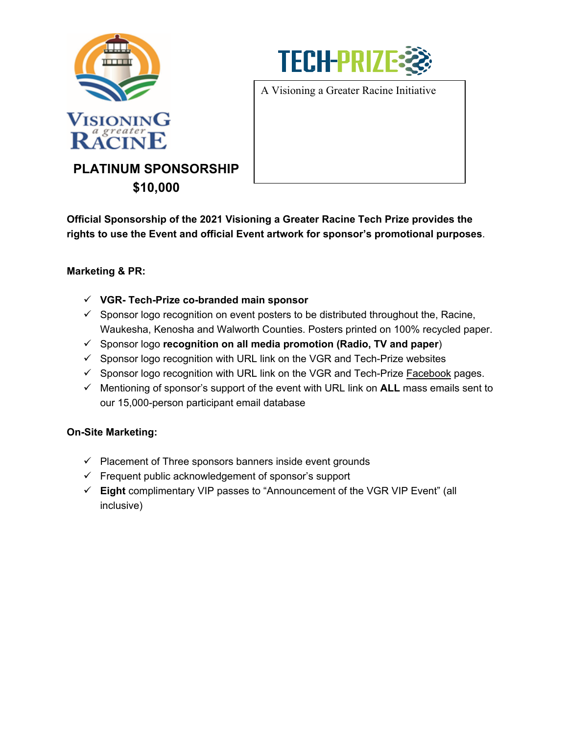



A Visioning a Greater Racine Initiative

**PLATINUM SPONSORSHIP \$10,000**

**Official Sponsorship of the 2021 Visioning a Greater Racine Tech Prize provides the rights to use the Event and official Event artwork for sponsor's promotional purposes**.

## **Marketing & PR:**

- **VGR- Tech-Prize co-branded main sponsor**
- $\checkmark$  Sponsor logo recognition on event posters to be distributed throughout the, Racine, Waukesha, Kenosha and Walworth Counties. Posters printed on 100% recycled paper.
- Sponsor logo **recognition on all media promotion (Radio, TV and paper**)
- $\checkmark$  Sponsor logo recognition with URL link on the VGR and Tech-Prize websites
- $\checkmark$  Sponsor logo recognition with URL link on the VGR and Tech-Prize Facebook pages.
- $\checkmark$  Mentioning of sponsor's support of the event with URL link on **ALL** mass emails sent to our 15,000-person participant email database

#### **On-Site Marketing:**

- $\checkmark$  Placement of Three sponsors banners inside event grounds
- $\checkmark$  Frequent public acknowledgement of sponsor's support
- **Eight** complimentary VIP passes to "Announcement of the VGR VIP Event" (all inclusive)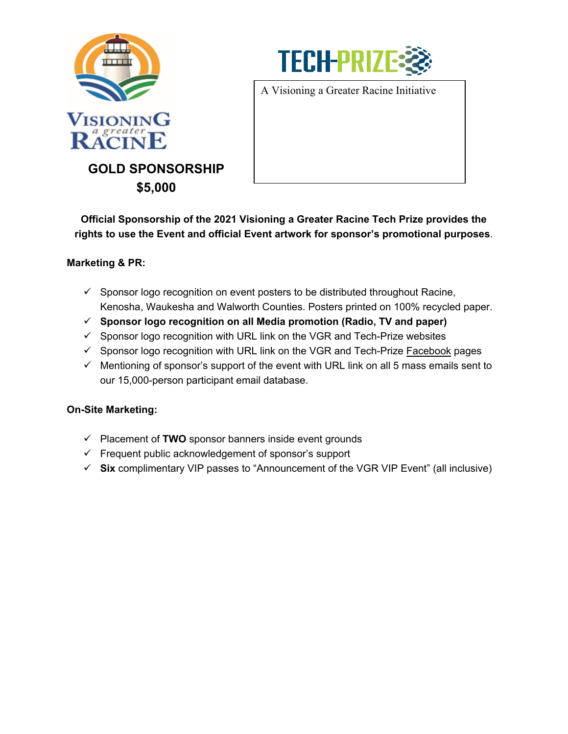

**\$5,000**



A Visioning a Greater Racine Initiative

**Official Sponsorship of the 2021 Visioning a Greater Racine Tech Prize provides the rights to use the Event and official Event artwork for sponsor's promotional purposes**.

## **Marketing & PR:**

- $\checkmark$  Sponsor logo recognition on event posters to be distributed throughout Racine, Kenosha, Waukesha and Walworth Counties. Posters printed on 100% recycled paper.
- **Sponsor logo recognition on all Media promotion (Radio, TV and paper)**
- $\checkmark$  Sponsor logo recognition with URL link on the VGR and Tech-Prize websites
- $\checkmark$  Sponsor logo recognition with URL link on the VGR and Tech-Prize [Facebook](http://www.facebook) pages
- $\checkmark$  Mentioning of sponsor's support of the event with URL link on all 5 mass emails sent to our 15,000-person participant email database.

#### **On-Site Marketing:**

- $\checkmark$  Placement of **TWO** sponsor banners inside event grounds
- $\checkmark$  Frequent public acknowledgement of sponsor's support
- **Six** complimentary VIP passes to "Announcement of the VGR VIP Event" (all inclusive)